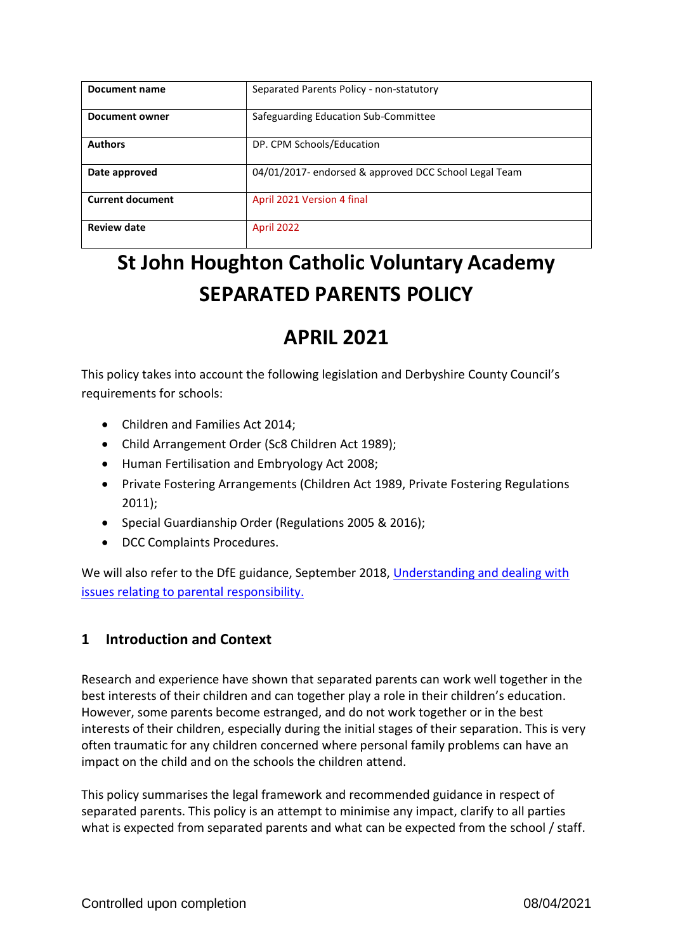| Document name           | Separated Parents Policy - non-statutory              |
|-------------------------|-------------------------------------------------------|
| Document owner          | Safeguarding Education Sub-Committee                  |
| <b>Authors</b>          | DP. CPM Schools/Education                             |
| Date approved           | 04/01/2017- endorsed & approved DCC School Legal Team |
| <b>Current document</b> | April 2021 Version 4 final                            |
| <b>Review date</b>      | <b>April 2022</b>                                     |

# **St John Houghton Catholic Voluntary Academy SEPARATED PARENTS POLICY**

## **APRIL 2021**

This policy takes into account the following legislation and Derbyshire County Council's requirements for schools:

- Children and Families Act 2014;
- Child Arrangement Order (Sc8 Children Act 1989);
- Human Fertilisation and Embryology Act 2008;
- Private Fostering Arrangements (Children Act 1989, Private Fostering Regulations 2011);
- Special Guardianship Order (Regulations 2005 & 2016);
- DCC Complaints Procedures.

We will also refer to the DfE guidance, September 2018, [Understanding and dealing with](https://www.gov.uk/government/publications/dealing-with-issues-relating-to-parental-responsibility/understanding-and-dealing-with-issues-relating-to-parental-responsibility)  [issues relating to parental](https://www.gov.uk/government/publications/dealing-with-issues-relating-to-parental-responsibility/understanding-and-dealing-with-issues-relating-to-parental-responsibility) responsibility.

## **1 Introduction and Context**

Research and experience have shown that separated parents can work well together in the best interests of their children and can together play a role in their children's education. However, some parents become estranged, and do not work together or in the best interests of their children, especially during the initial stages of their separation. This is very often traumatic for any children concerned where personal family problems can have an impact on the child and on the schools the children attend.

This policy summarises the legal framework and recommended guidance in respect of separated parents. This policy is an attempt to minimise any impact, clarify to all parties what is expected from separated parents and what can be expected from the school / staff.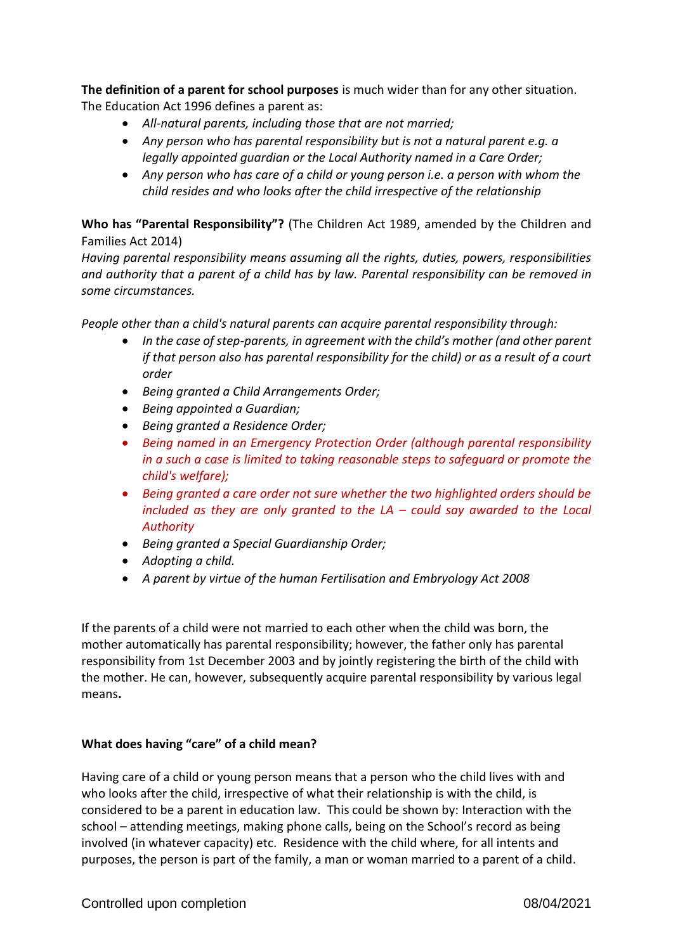**The definition of a parent for school purposes** is much wider than for any other situation. The Education Act 1996 defines a parent as:

- *All-natural parents, including those that are not married;*
- *Any person who has parental responsibility but is not a natural parent e.g. a legally appointed guardian or the Local Authority named in a Care Order;*
- *Any person who has care of a child or young person i.e. a person with whom the child resides and who looks after the child irrespective of the relationship*

**Who has "Parental Responsibility"?** (The Children Act 1989, amended by the Children and Families Act 2014)

*Having parental responsibility means assuming all the rights, duties, powers, responsibilities and authority that a parent of a child has by law. Parental responsibility can be removed in some circumstances.* 

*People other than a child's natural parents can acquire parental responsibility through:*

- *In the case of step-parents, in agreement with the child's mother (and other parent if that person also has parental responsibility for the child) or as a result of a court order*
- *Being granted a Child Arrangements Order;*
- *Being appointed a Guardian;*
- *Being granted a Residence Order;*
- *Being named in an Emergency Protection Order (although parental responsibility in a such a case is limited to taking reasonable steps to safeguard or promote the child's welfare);*
- *Being granted a care order not sure whether the two highlighted orders should be included as they are only granted to the LA – could say awarded to the Local Authority*
- *Being granted a Special Guardianship Order;*
- *Adopting a child.*
- *A parent by virtue of the human Fertilisation and Embryology Act 2008*

If the parents of a child were not married to each other when the child was born, the mother automatically has parental responsibility; however, the father only has parental responsibility from 1st December 2003 and by jointly registering the birth of the child with the mother. He can, however, subsequently acquire parental responsibility by various legal means**.**

### **What does having "care" of a child mean?**

Having care of a child or young person means that a person who the child lives with and who looks after the child, irrespective of what their relationship is with the child, is considered to be a parent in education law. This could be shown by: Interaction with the school – attending meetings, making phone calls, being on the School's record as being involved (in whatever capacity) etc. Residence with the child where, for all intents and purposes, the person is part of the family, a man or woman married to a parent of a child.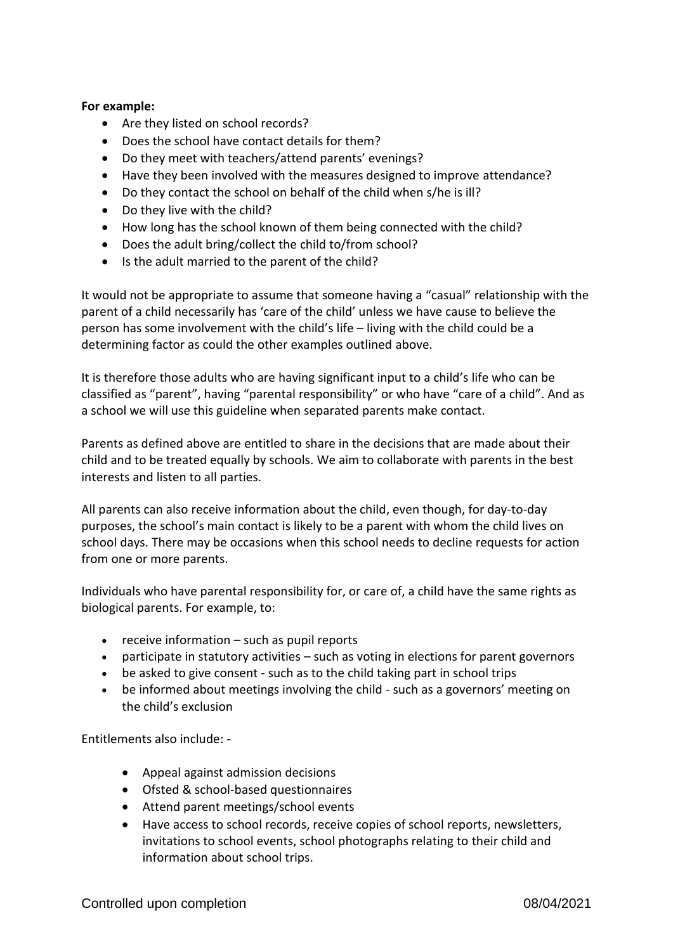### **For example:**

- Are they listed on school records?
- Does the school have contact details for them?
- Do they meet with teachers/attend parents' evenings?
- Have they been involved with the measures designed to improve attendance?
- Do they contact the school on behalf of the child when s/he is ill?
- Do they live with the child?
- How long has the school known of them being connected with the child?
- Does the adult bring/collect the child to/from school?
- Is the adult married to the parent of the child?

It would not be appropriate to assume that someone having a "casual" relationship with the parent of a child necessarily has 'care of the child' unless we have cause to believe the person has some involvement with the child's life – living with the child could be a determining factor as could the other examples outlined above.

It is therefore those adults who are having significant input to a child's life who can be classified as "parent", having "parental responsibility" or who have "care of a child". And as a school we will use this guideline when separated parents make contact.

Parents as defined above are entitled to share in the decisions that are made about their child and to be treated equally by schools. We aim to collaborate with parents in the best interests and listen to all parties.

All parents can also [receive information about the child,](http://www.legislation.gov.uk/uksi/2005/1437/contents/made) even though, for day-to-day purposes, the school's main contact is likely to be a parent with whom the child lives on school days. There may be occasions when this school needs to decline requests for action from one or more parents.

Individuals who have parental responsibility for, or care of, a child have the same rights as biological parents. For example, to:

- receive information such as pupil reports
- participate in statutory activities such as voting in elections for parent governors
- be asked to give consent such as to the child taking part in school trips
- be informed about meetings involving the child such as a governors' meeting on the child's exclusion

Entitlements also include: -

- Appeal against admission decisions
- Ofsted & school-based questionnaires
- Attend parent meetings/school events
- Have access to school records, receive copies of school reports, newsletters, invitations to school events, school photographs relating to their child and information about school trips.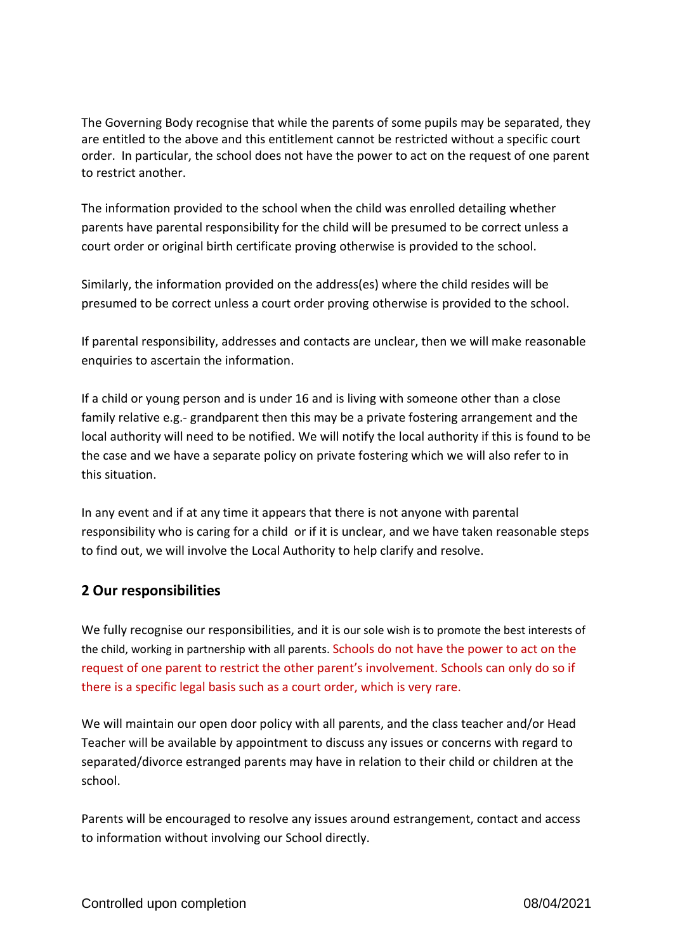The Governing Body recognise that while the parents of some pupils may be separated, they are entitled to the above and this entitlement cannot be restricted without a specific court order. In particular, the school does not have the power to act on the request of one parent to restrict another.

The information provided to the school when the child was enrolled detailing whether parents have parental responsibility for the child will be presumed to be correct unless a court order or original birth certificate proving otherwise is provided to the school.

Similarly, the information provided on the address(es) where the child resides will be presumed to be correct unless a court order proving otherwise is provided to the school.

If parental responsibility, addresses and contacts are unclear, then we will make reasonable enquiries to ascertain the information.

If a child or young person and is under 16 and is living with someone other than a close family relative e.g.- grandparent then this may be a private fostering arrangement and the local authority will need to be notified. We will notify the local authority if this is found to be the case and we have a separate policy on private fostering which we will also refer to in this situation.

In any event and if at any time it appears that there is not anyone with parental responsibility who is caring for a child or if it is unclear, and we have taken reasonable steps to find out, we will involve the Local Authority to help clarify and resolve.

## **2 Our responsibilities**

We fully recognise our responsibilities, and it is our sole wish is to promote the best interests of the child, working in partnership with all parents. Schools do not have the power to act on the request of one parent to restrict the other parent's involvement. Schools can only do so if there is a specific legal basis such as a court order, which is very rare.

We will maintain our open door policy with all parents, and the class teacher and/or Head Teacher will be available by appointment to discuss any issues or concerns with regard to separated/divorce estranged parents may have in relation to their child or children at the school.

Parents will be encouraged to resolve any issues around estrangement, contact and access to information without involving our School directly.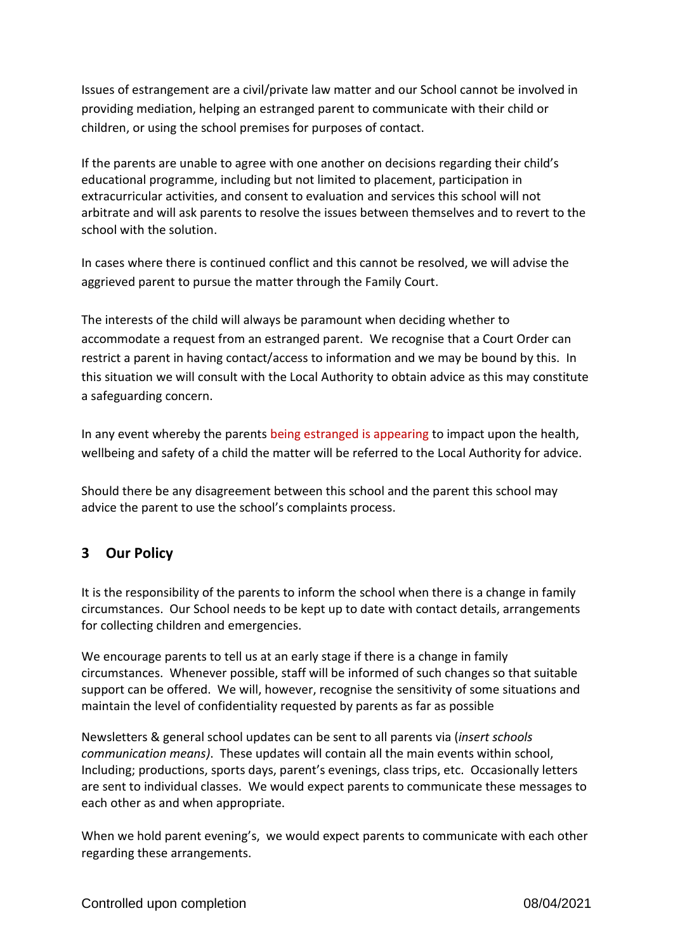Issues of estrangement are a civil/private law matter and our School cannot be involved in providing mediation, helping an estranged parent to communicate with their child or children, or using the school premises for purposes of contact.

If the parents are unable to agree with one another on decisions regarding their child's educational programme, including but not limited to placement, participation in extracurricular activities, and consent to evaluation and services this school will not arbitrate and will ask parents to resolve the issues between themselves and to revert to the school with the solution.

In cases where there is continued conflict and this cannot be resolved, we will advise the aggrieved parent to pursue the matter through the Family Court.

The interests of the child will always be paramount when deciding whether to accommodate a request from an estranged parent. We recognise that a Court Order can restrict a parent in having contact/access to information and we may be bound by this. In this situation we will consult with the Local Authority to obtain advice as this may constitute a safeguarding concern.

In any event whereby the parents being estranged is appearing to impact upon the health, wellbeing and safety of a child the matter will be referred to the Local Authority for advice.

Should there be any disagreement between this school and the parent this school may advice the parent to use the school's complaints process.

## **3 Our Policy**

It is the responsibility of the parents to inform the school when there is a change in family circumstances. Our School needs to be kept up to date with contact details, arrangements for collecting children and emergencies.

We encourage parents to tell us at an early stage if there is a change in family circumstances. Whenever possible, staff will be informed of such changes so that suitable support can be offered. We will, however, recognise the sensitivity of some situations and maintain the level of confidentiality requested by parents as far as possible

Newsletters & general school updates can be sent to all parents via (*insert schools communication means)*. These updates will contain all the main events within school, Including; productions, sports days, parent's evenings, class trips, etc. Occasionally letters are sent to individual classes. We would expect parents to communicate these messages to each other as and when appropriate.

When we hold parent evening's, we would expect parents to communicate with each other regarding these arrangements.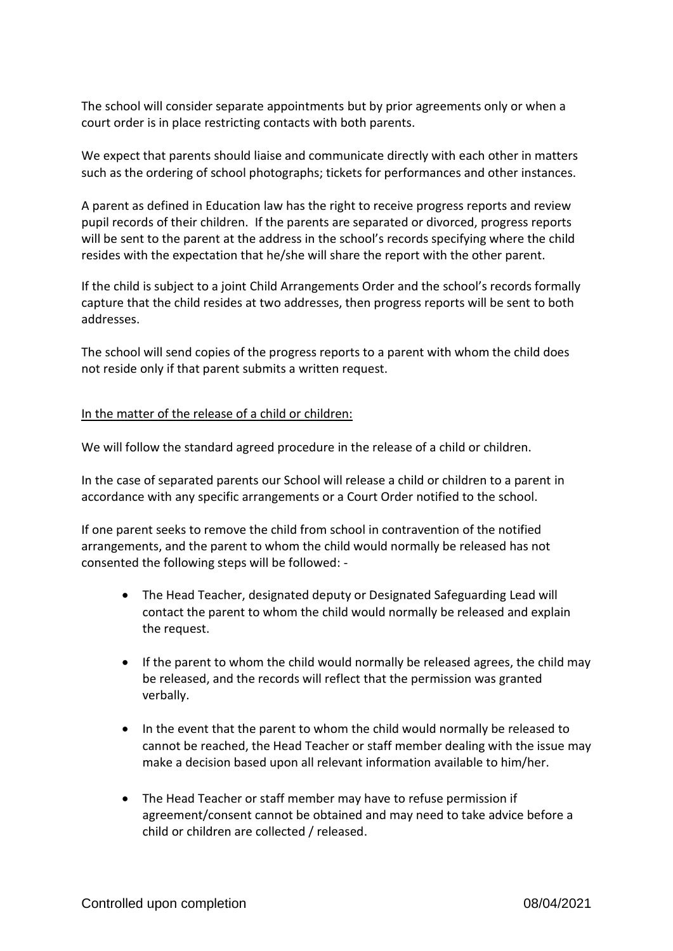The school will consider separate appointments but by prior agreements only or when a court order is in place restricting contacts with both parents.

We expect that parents should liaise and communicate directly with each other in matters such as the ordering of school photographs; tickets for performances and other instances.

A parent as defined in Education law has the right to receive progress reports and review pupil records of their children. If the parents are separated or divorced, progress reports will be sent to the parent at the address in the school's records specifying where the child resides with the expectation that he/she will share the report with the other parent.

If the child is subject to a joint Child Arrangements Order and the school's records formally capture that the child resides at two addresses, then progress reports will be sent to both addresses.

The school will send copies of the progress reports to a parent with whom the child does not reside only if that parent submits a written request.

### In the matter of the release of a child or children:

We will follow the standard agreed procedure in the release of a child or children.

In the case of separated parents our School will release a child or children to a parent in accordance with any specific arrangements or a Court Order notified to the school.

If one parent seeks to remove the child from school in contravention of the notified arrangements, and the parent to whom the child would normally be released has not consented the following steps will be followed: -

- The Head Teacher, designated deputy or Designated Safeguarding Lead will contact the parent to whom the child would normally be released and explain the request.
- If the parent to whom the child would normally be released agrees, the child may be released, and the records will reflect that the permission was granted verbally.
- In the event that the parent to whom the child would normally be released to cannot be reached, the Head Teacher or staff member dealing with the issue may make a decision based upon all relevant information available to him/her.
- The Head Teacher or staff member may have to refuse permission if agreement/consent cannot be obtained and may need to take advice before a child or children are collected / released.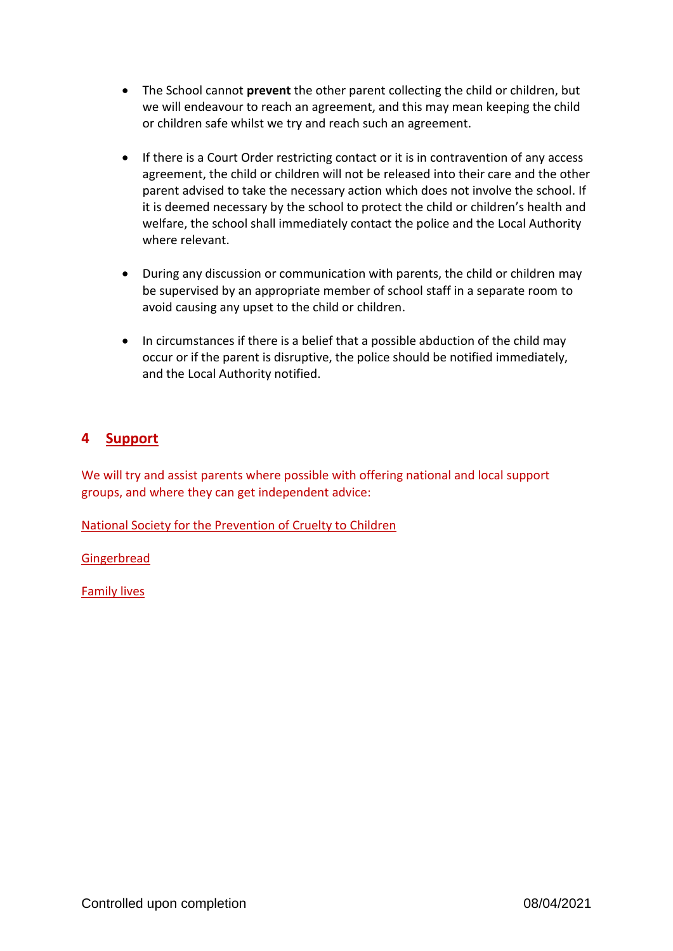- The School cannot **prevent** the other parent collecting the child or children, but we will endeavour to reach an agreement, and this may mean keeping the child or children safe whilst we try and reach such an agreement.
- If there is a Court Order restricting contact or it is in contravention of any access agreement, the child or children will not be released into their care and the other parent advised to take the necessary action which does not involve the school. If it is deemed necessary by the school to protect the child or children's health and welfare, the school shall immediately contact the police and the Local Authority where relevant.
- During any discussion or communication with parents, the child or children may be supervised by an appropriate member of school staff in a separate room to avoid causing any upset to the child or children.
- In circumstances if there is a belief that a possible abduction of the child may occur or if the parent is disruptive, the police should be notified immediately, and the Local Authority notified.

## **4 Support**

We will try and assist parents where possible with offering national and local support groups, and where they can get independent advice:

[National Society for the Prevention of Cruelty to Children](https://www.nspcc.org.uk/keeping-children-safe/support-for-parents/separation-and-divorce/)

[Gingerbread](https://www.gingerbread.org.uk/)

[Family lives](https://www.familylives.org.uk/)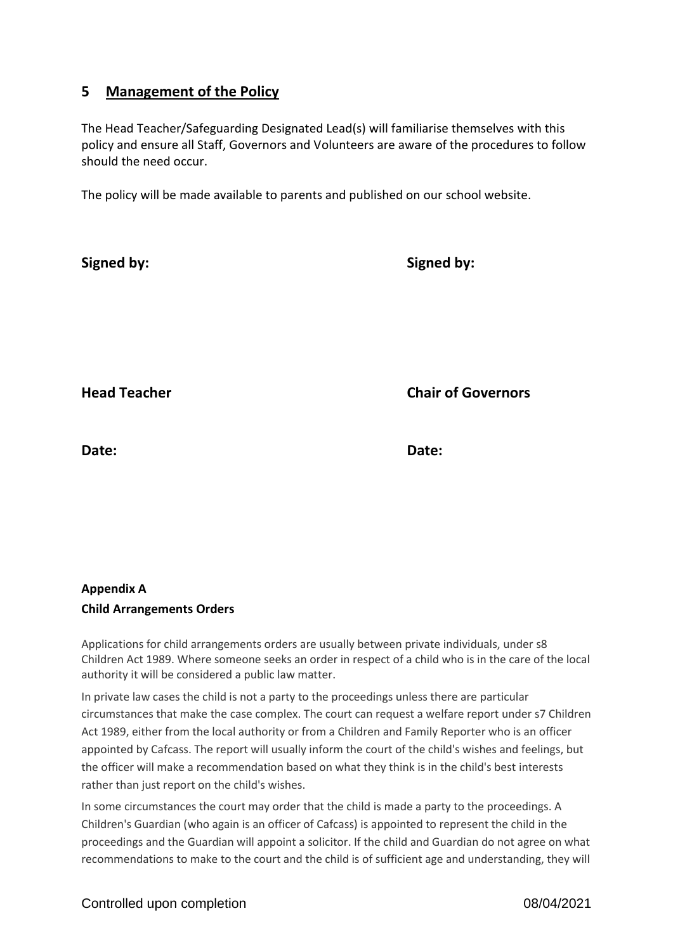## **5 Management of the Policy**

The Head Teacher/Safeguarding Designated Lead(s) will familiarise themselves with this policy and ensure all Staff, Governors and Volunteers are aware of the procedures to follow should the need occur.

The policy will be made available to parents and published on our school website.

| <b>Signed by:</b>   | <b>Signed by:</b>         |
|---------------------|---------------------------|
|                     |                           |
|                     |                           |
| <b>Head Teacher</b> | <b>Chair of Governors</b> |
| Date:               | Date:                     |

## **Appendix A Child Arrangements Orders**

Applications for child arrangements orders are usually between private individuals, under s8 Children Act 1989. Where someone seeks an order in respect of a child who is in the care of the local authority it will be considered a public law matter.

In private law cases the child is not a party to the proceedings unless there are particular circumstances that make the case complex. The court can request a welfare report under s7 Children Act 1989, either from the local authority or from a Children and Family Reporter who is an officer appointed by Cafcass. The report will usually inform the court of the child's wishes and feelings, but the officer will make a recommendation based on what they think is in the child's best interests rather than just report on the child's wishes.

In some circumstances the court may order that the child is made a party to the proceedings. A Children's Guardian (who again is an officer of Cafcass) is appointed to represent the child in the proceedings and the Guardian will appoint a solicitor. If the child and Guardian do not agree on what recommendations to make to the court and the child is of sufficient age and understanding, they will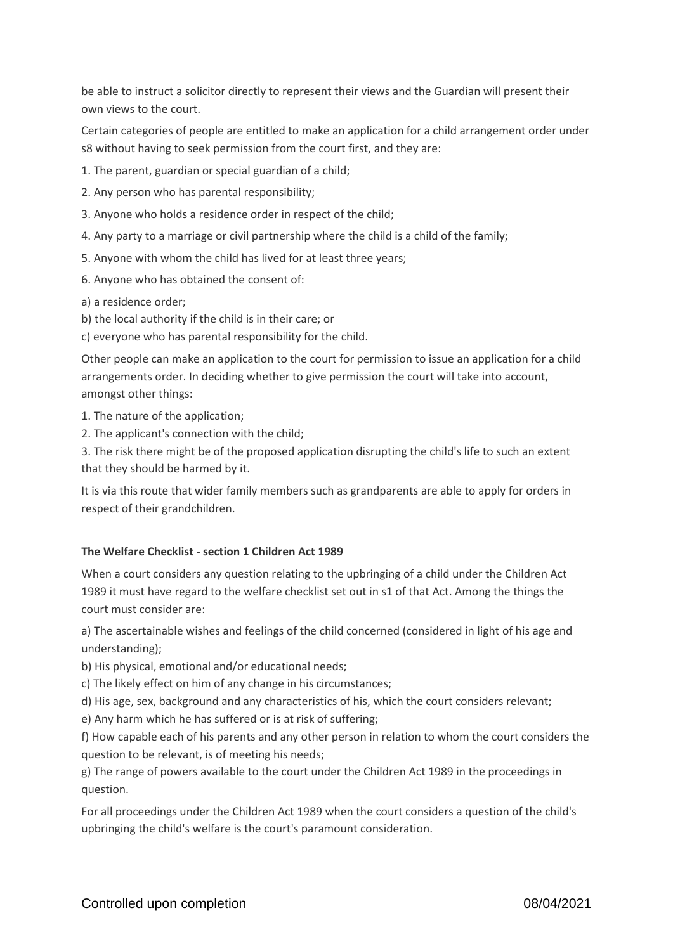be able to instruct a solicitor directly to represent their views and the Guardian will present their own views to the court.

Certain categories of people are entitled to make an application for a child arrangement order under s8 without having to seek permission from the court first, and they are:

1. The parent, guardian or special guardian of a child;

- 2. Any person who has parental responsibility;
- 3. Anyone who holds a residence order in respect of the child;
- 4. Any party to a marriage or civil partnership where the child is a child of the family;
- 5. Anyone with whom the child has lived for at least three years;
- 6. Anyone who has obtained the consent of:

a) a residence order;

b) the local authority if the child is in their care; or

c) everyone who has parental responsibility for the child.

Other people can make an application to the court for permission to issue an application for a child arrangements order. In deciding whether to give permission the court will take into account, amongst other things:

1. The nature of the application;

2. The applicant's connection with the child;

3. The risk there might be of the proposed application disrupting the child's life to such an extent that they should be harmed by it.

It is via this route that wider family members such as grandparents are able to apply for orders in respect of their grandchildren.

#### **The Welfare Checklist - section 1 Children Act 1989**

When a court considers any question relating to the upbringing of a child under the Children Act 1989 it must have regard to the welfare checklist set out in s1 of that Act. Among the things the court must consider are:

a) The ascertainable wishes and feelings of the child concerned (considered in light of his age and understanding);

b) His physical, emotional and/or educational needs;

c) The likely effect on him of any change in his circumstances;

d) His age, sex, background and any characteristics of his, which the court considers relevant;

e) Any harm which he has suffered or is at risk of suffering;

f) How capable each of his parents and any other person in relation to whom the court considers the question to be relevant, is of meeting his needs;

g) The range of powers available to the court under the Children Act 1989 in the proceedings in question.

For all proceedings under the Children Act 1989 when the court considers a question of the child's upbringing the child's welfare is the court's paramount consideration.